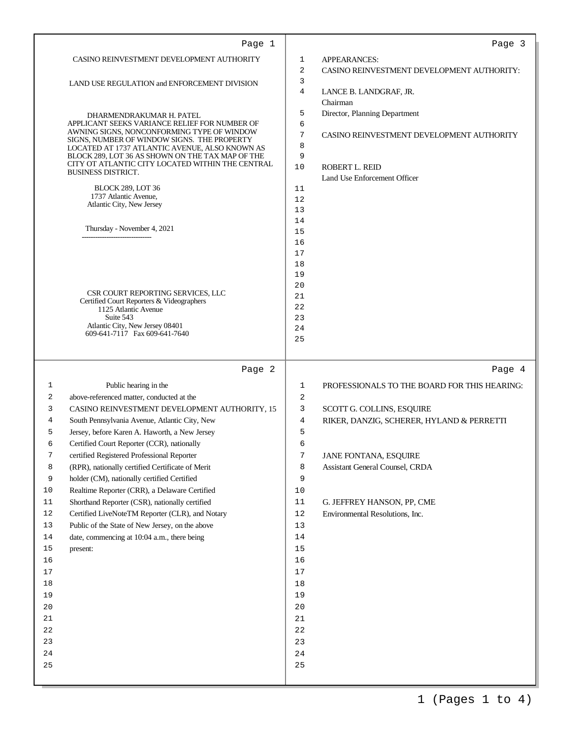|                           | Page 1                                                                                             |                     | Page 3                                       |
|---------------------------|----------------------------------------------------------------------------------------------------|---------------------|----------------------------------------------|
|                           | CASINO REINVESTMENT DEVELOPMENT AUTHORITY                                                          | 1                   | APPEARANCES:                                 |
|                           |                                                                                                    | $\overline{2}$<br>3 | CASINO REINVESTMENT DEVELOPMENT AUTHORITY:   |
|                           | LAND USE REGULATION and ENFORCEMENT DIVISION                                                       | 4                   | LANCE B. LANDGRAF, JR.                       |
|                           |                                                                                                    |                     | Chairman                                     |
|                           | DHARMENDRAKUMAR H. PATEL                                                                           | 5                   | Director, Planning Department                |
|                           | APPLICANT SEEKS VARIANCE RELIEF FOR NUMBER OF<br>AWNING SIGNS, NONCONFORMING TYPE OF WINDOW        | 6                   |                                              |
|                           | SIGNS, NUMBER OF WINDOW SIGNS. THE PROPERTY                                                        | 7                   | CASINO REINVESTMENT DEVELOPMENT AUTHORITY    |
|                           | LOCATED AT 1737 ATLANTIC AVENUE, ALSO KNOWN AS<br>BLOCK 289, LOT 36 AS SHOWN ON THE TAX MAP OF THE | 8<br>9              |                                              |
|                           | CITY OT ATLANTIC CITY LOCATED WITHIN THE CENTRAL                                                   | 10                  | ROBERT L. REID                               |
| <b>BUSINESS DISTRICT.</b> |                                                                                                    |                     | Land Use Enforcement Officer                 |
|                           | <b>BLOCK 289, LOT 36</b>                                                                           | 11                  |                                              |
|                           | 1737 Atlantic Avenue,<br>Atlantic City, New Jersey                                                 | 12                  |                                              |
|                           |                                                                                                    | 13<br>14            |                                              |
|                           | Thursday - November 4, 2021                                                                        | 15                  |                                              |
|                           |                                                                                                    | 16                  |                                              |
|                           |                                                                                                    | 17                  |                                              |
|                           |                                                                                                    | 18                  |                                              |
|                           |                                                                                                    | 19                  |                                              |
|                           | CSR COURT REPORTING SERVICES, LLC                                                                  | 20<br>21            |                                              |
|                           | Certified Court Reporters & Videographers<br>1125 Atlantic Avenue                                  | 22                  |                                              |
|                           | Suite 543                                                                                          | 23                  |                                              |
|                           | Atlantic City, New Jersey 08401<br>609-641-7117 Fax 609-641-7640                                   | 24                  |                                              |
|                           |                                                                                                    | 25                  |                                              |
|                           |                                                                                                    |                     |                                              |
|                           | Page 2                                                                                             |                     | Page 4                                       |
| 1                         | Public hearing in the                                                                              | 1                   | PROFESSIONALS TO THE BOARD FOR THIS HEARING: |
| 2                         | above-referenced matter, conducted at the                                                          | 2                   |                                              |
| 3                         | CASINO REINVESTMENT DEVELOPMENT AUTHORITY, 15                                                      | 3                   | SCOTT G. COLLINS, ESQUIRE                    |
| 4                         | South Pennsylvania Avenue, Atlantic City, New                                                      | 4                   | RIKER, DANZIG, SCHERER, HYLAND & PERRETTI    |
| 5<br>6                    | Jersey, before Karen A. Haworth, a New Jersey                                                      | 5<br>6              |                                              |
| 7                         | Certified Court Reporter (CCR), nationally<br>certified Registered Professional Reporter           | 7                   | JANE FONTANA, ESQUIRE                        |
| 8                         | (RPR), nationally certified Certificate of Merit                                                   | 8                   | Assistant General Counsel, CRDA              |
| 9                         | holder (CM), nationally certified Certified                                                        | 9                   |                                              |
| 10                        | Realtime Reporter (CRR), a Delaware Certified                                                      | 10                  |                                              |
| 11                        | Shorthand Reporter (CSR), nationally certified                                                     | 11                  | G. JEFFREY HANSON, PP, CME                   |
| 12                        | Certified LiveNoteTM Reporter (CLR), and Notary                                                    | 12                  | Environmental Resolutions, Inc.              |
| 13                        | Public of the State of New Jersey, on the above                                                    | 13                  |                                              |
| 14                        | date, commencing at 10:04 a.m., there being                                                        | 14                  |                                              |
| 15<br>present:            |                                                                                                    | 15                  |                                              |
| 16                        |                                                                                                    | 16                  |                                              |
| 17                        |                                                                                                    | 17                  |                                              |
| 18<br>19                  |                                                                                                    | 18<br>19            |                                              |
| 20                        |                                                                                                    | 20                  |                                              |
| 21                        |                                                                                                    | $2\,1$              |                                              |
| 22                        |                                                                                                    | $2\,2$              |                                              |
|                           |                                                                                                    |                     |                                              |
| 23                        |                                                                                                    | 23                  |                                              |
| 24                        |                                                                                                    | 24                  |                                              |
| 25                        |                                                                                                    | 25                  |                                              |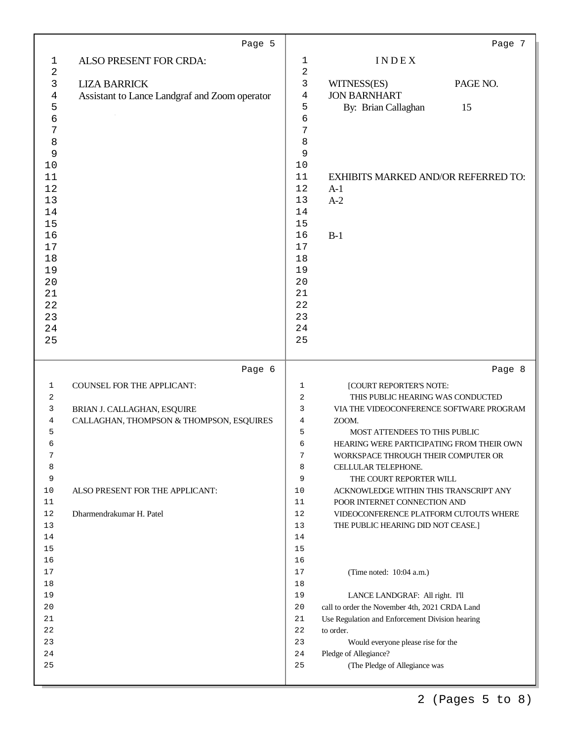|              | Page 5                                        |                |                                                        | Page 7   |
|--------------|-----------------------------------------------|----------------|--------------------------------------------------------|----------|
| $\mathbf{1}$ | ALSO PRESENT FOR CRDA:                        | 1              | INDEX                                                  |          |
| 2            |                                               | $\overline{a}$ |                                                        |          |
| 3            | <b>LIZA BARRICK</b>                           | 3              | WITNESS(ES)                                            | PAGE NO. |
| 4            | Assistant to Lance Landgraf and Zoom operator | $\overline{4}$ | <b>JON BARNHART</b>                                    |          |
| 5            |                                               | 5              | By: Brian Callaghan                                    | 15       |
| б            |                                               | 6              |                                                        |          |
| 7            |                                               | 7              |                                                        |          |
| 8<br>9       |                                               | 8<br>9         |                                                        |          |
| 10           |                                               | 10             |                                                        |          |
| 11           |                                               | 11             | <b>EXHIBITS MARKED AND/OR REFERRED TO:</b>             |          |
| 12           |                                               | 12             | $A-1$                                                  |          |
| 13           |                                               | 13             | $A-2$                                                  |          |
| 14           |                                               | 14             |                                                        |          |
| 15           |                                               | 15             |                                                        |          |
| 16           |                                               | 16             | $B-1$                                                  |          |
| 17           |                                               | 17             |                                                        |          |
| 18           |                                               | 18             |                                                        |          |
| 19           |                                               | 19             |                                                        |          |
| 20           |                                               | 20             |                                                        |          |
| 21           |                                               | 21             |                                                        |          |
| 22           |                                               | 22             |                                                        |          |
| 23           |                                               | 23<br>24       |                                                        |          |
| 24<br>25     |                                               | 25             |                                                        |          |
|              |                                               |                |                                                        |          |
|              | Page 6                                        |                |                                                        | Page 8   |
| 1            | COUNSEL FOR THE APPLICANT:                    | 1              | [COURT REPORTER'S NOTE:                                |          |
| 2            |                                               | 2              | THIS PUBLIC HEARING WAS CONDUCTED                      |          |
| 3            | BRIAN J. CALLAGHAN, ESQUIRE                   | 3              | VIA THE VIDEOCONFERENCE SOFTWARE PROGRAM               |          |
| 4            | CALLAGHAN, THOMPSON & THOMPSON, ESQUIRES      | 4              | ZOOM.                                                  |          |
| 5            |                                               | 5              | MOST ATTENDEES TO THIS PUBLIC                          |          |
| 6            |                                               | 6              | HEARING WERE PARTICIPATING FROM THEIR OWN              |          |
| 7            |                                               | 7              | WORKSPACE THROUGH THEIR COMPUTER OR                    |          |
| 8<br>9       |                                               | 8<br>9         | CELLULAR TELEPHONE.<br>THE COURT REPORTER WILL         |          |
| 10           | ALSO PRESENT FOR THE APPLICANT:               | 10             | ACKNOWLEDGE WITHIN THIS TRANSCRIPT ANY                 |          |
| 11           |                                               | 11             | POOR INTERNET CONNECTION AND                           |          |
| 12           | Dharmendrakumar H. Patel                      | 12             | VIDEOCONFERENCE PLATFORM CUTOUTS WHERE                 |          |
| 13           |                                               | 13             | THE PUBLIC HEARING DID NOT CEASE.]                     |          |
| 14           |                                               | 14             |                                                        |          |
| 15           |                                               | 15             |                                                        |          |
| 16           |                                               | 16             |                                                        |          |
| 17           |                                               | 17             | (Time noted: 10:04 a.m.)                               |          |
| 18           |                                               | 18             |                                                        |          |
|              |                                               | 19             | LANCE LANDGRAF: All right. I'll                        |          |
| 19           |                                               |                |                                                        |          |
| 20           |                                               | 20             | call to order the November 4th, 2021 CRDA Land         |          |
| 21           |                                               | 21             | Use Regulation and Enforcement Division hearing        |          |
| 22           |                                               | 22             | to order.                                              |          |
| 23           |                                               | 23             | Would everyone please rise for the                     |          |
| 24<br>25     |                                               | 24<br>25       | Pledge of Allegiance?<br>(The Pledge of Allegiance was |          |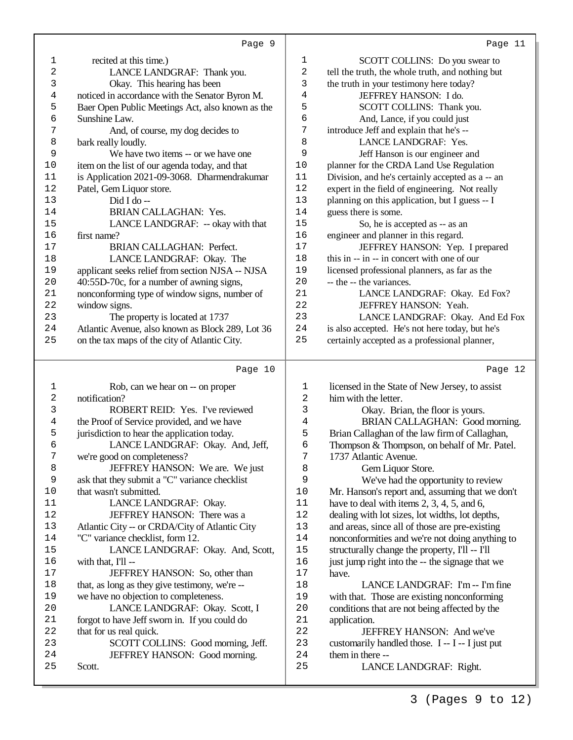| 1              | recited at this time.)                           | 1        | SCOTT COLLINS: Do you swear to                   |
|----------------|--------------------------------------------------|----------|--------------------------------------------------|
| 2              | LANCE LANDGRAF: Thank you.                       | 2        | tell the truth, the whole truth, and nothing but |
| 3              | Okay. This hearing has been                      | 3        | the truth in your testimony here today?          |
| $\overline{4}$ | noticed in accordance with the Senator Byron M.  | 4        | JEFFREY HANSON: I do.                            |
| 5              | Baer Open Public Meetings Act, also known as the | 5        | SCOTT COLLINS: Thank you.                        |
| 6              | Sunshine Law.                                    | 6        | And, Lance, if you could just                    |
| 7              | And, of course, my dog decides to                | 7        | introduce Jeff and explain that he's --          |
| 8              | bark really loudly.                              | 8        | LANCE LANDGRAF: Yes.                             |
| 9              | We have two items -- or we have one              | 9        | Jeff Hanson is our engineer and                  |
| $10$           | item on the list of our agenda today, and that   | 10       | planner for the CRDA Land Use Regulation         |
| 11             | is Application 2021-09-3068. Dharmendrakumar     | 11       | Division, and he's certainly accepted as a -- an |
| 12             | Patel, Gem Liquor store.                         | $1\,2$   | expert in the field of engineering. Not really   |
| 13             | Did I do --                                      | 13       | planning on this application, but I guess -- I   |
| 14             | BRIAN CALLAGHAN: Yes.                            | 14       | guess there is some.                             |
| 15             | LANCE LANDGRAF: -- okay with that                | 15       | So, he is accepted as -- as an                   |
| 16             | first name?                                      | 16       | engineer and planner in this regard.             |
| 17             | <b>BRIAN CALLAGHAN: Perfect.</b>                 | $17$     | JEFFREY HANSON: Yep. I prepared                  |
| $18\,$         | LANCE LANDGRAF: Okay. The                        | 18       | this in -- in -- in concert with one of our      |
| 19             | applicant seeks relief from section NJSA -- NJSA | 19       | licensed professional planners, as far as the    |
| 20             | 40:55D-70c, for a number of awning signs,        | 20       | -- the -- the variances.                         |
| 21             | nonconforming type of window signs, number of    | 21       | LANCE LANDGRAF: Okay. Ed Fox?                    |
| $2\,2$         | window signs.                                    | 22       | JEFFREY HANSON: Yeah.                            |
| 23             | The property is located at 1737                  | 23       | LANCE LANDGRAF: Okay. And Ed Fox                 |
| 24             | Atlantic Avenue, also known as Block 289, Lot 36 | 24       | is also accepted. He's not here today, but he's  |
| 25             | on the tax maps of the city of Atlantic City.    | 25       | certainly accepted as a professional planner,    |
|                |                                                  |          |                                                  |
|                |                                                  |          |                                                  |
|                | Page 10                                          |          | Page 12                                          |
|                |                                                  |          |                                                  |
| 1              | Rob, can we hear on -- on proper                 | 1        | licensed in the State of New Jersey, to assist   |
| 2              | notification?                                    | 2        | him with the letter.                             |
| 3              | ROBERT REID: Yes. I've reviewed                  | 3        | Okay. Brian, the floor is yours.                 |
| $\overline{4}$ | the Proof of Service provided, and we have       | 4        | BRIAN CALLAGHAN: Good morning.                   |
| 5              | jurisdiction to hear the application today.      | 5        | Brian Callaghan of the law firm of Callaghan,    |
| б              | LANCE LANDGRAF: Okay. And, Jeff,                 | 6        | Thompson & Thompson, on behalf of Mr. Patel.     |
| 7              | we're good on completeness?                      | 7        | 1737 Atlantic Avenue.                            |
| 8              | JEFFREY HANSON: We are. We just                  | 8        | Gem Liquor Store.                                |
| 9              | ask that they submit a "C" variance checklist    | 9        | We've had the opportunity to review              |
| $10$           | that wasn't submitted.                           | 10       | Mr. Hanson's report and, assuming that we don't  |
| 11             | LANCE LANDGRAF: Okay.                            | 11       | have to deal with items $2, 3, 4, 5$ , and 6,    |
| $1\,2$         | JEFFREY HANSON: There was a                      | 12       | dealing with lot sizes, lot widths, lot depths,  |
| 13             | Atlantic City -- or CRDA/City of Atlantic City   | 13       | and areas, since all of those are pre-existing   |
| 14             | "C" variance checklist, form 12.                 | 14       | nonconformities and we're not doing anything to  |
| 15             | LANCE LANDGRAF: Okay. And, Scott,                | 15       | structurally change the property, I'll -- I'll   |
| 16             | with that, I'll --                               | 16       | just jump right into the -- the signage that we  |
| 17             | JEFFREY HANSON: So, other than                   | 17       | have.                                            |
| 18             | that, as long as they give testimony, we're --   | 18       | LANCE LANDGRAF: I'm -- I'm fine                  |
| 19             | we have no objection to completeness.            | 19       | with that. Those are existing nonconforming      |
| 20             | LANCE LANDGRAF: Okay. Scott, I                   | 20       | conditions that are not being affected by the    |
| 21             | forgot to have Jeff sworn in. If you could do    | 21       | application.                                     |
| 22             | that for us real quick.                          | 22       | JEFFREY HANSON: And we've                        |
| 23             | SCOTT COLLINS: Good morning, Jeff.               | 23       | customarily handled those. I -- I -- I just put  |
| 24<br>25       | JEFFREY HANSON: Good morning.<br>Scott.          | 24<br>25 | them in there --<br>LANCE LANDGRAF: Right.       |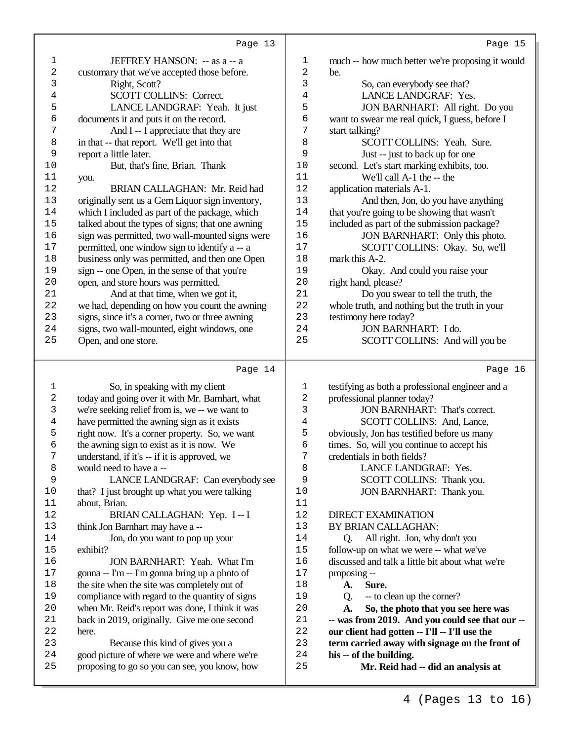| ۰.<br>c |  |
|---------|--|
|         |  |

|                         | Page 13                                                                                        |              | Page 15                                                       |
|-------------------------|------------------------------------------------------------------------------------------------|--------------|---------------------------------------------------------------|
| $\mathbf 1$             | JEFFREY HANSON: -- as a -- a                                                                   | 1            | much -- how much better we're proposing it would              |
| $\overline{\mathbf{c}}$ | customary that we've accepted those before.                                                    | 2            | be.                                                           |
| 3                       | Right, Scott?                                                                                  | 3            | So, can everybody see that?                                   |
| $\,4$                   | SCOTT COLLINS: Correct.                                                                        | 4            | LANCE LANDGRAF: Yes.                                          |
| 5                       | LANCE LANDGRAF: Yeah. It just                                                                  | 5            | JON BARNHART: All right. Do you                               |
| 6                       | documents it and puts it on the record.                                                        | б            | want to swear me real quick, I guess, before I                |
| 7                       | And I -- I appreciate that they are                                                            | 7            | start talking?                                                |
| $\,8\,$                 | in that -- that report. We'll get into that                                                    | 8            | SCOTT COLLINS: Yeah. Sure.                                    |
| 9                       | report a little later.                                                                         | 9            | Just -- just to back up for one                               |
| $10$                    |                                                                                                | $10$         |                                                               |
| 11                      | But, that's fine, Brian. Thank                                                                 | 11           | second. Let's start marking exhibits, too.                    |
| 12                      | you.<br>BRIAN CALLAGHAN: Mr. Reid had                                                          |              | We'll call A-1 the -- the                                     |
|                         |                                                                                                | 12           | application materials A-1.                                    |
| 13                      | originally sent us a Gem Liquor sign inventory,                                                | 13           | And then, Jon, do you have anything                           |
| $1\,4$                  | which I included as part of the package, which                                                 | 14           | that you're going to be showing that wasn't                   |
| 15                      | talked about the types of signs; that one awning                                               | 15           | included as part of the submission package?                   |
| 16                      | sign was permitted, two wall-mounted signs were                                                | 16           | JON BARNHART: Only this photo.                                |
| $17$                    | permitted, one window sign to identify a -- a                                                  | $17$         | SCOTT COLLINS: Okay. So, we'll                                |
| $1\,8$                  | business only was permitted, and then one Open                                                 | 18           | mark this A-2.                                                |
| 19                      | sign -- one Open, in the sense of that you're                                                  | 19           | Okay. And could you raise your                                |
| $20$                    | open, and store hours was permitted.                                                           | 20           | right hand, please?                                           |
| 21                      | And at that time, when we got it,                                                              | 21           | Do you swear to tell the truth, the                           |
| 22                      | we had, depending on how you count the awning                                                  | 22           | whole truth, and nothing but the truth in your                |
| 23                      | signs, since it's a corner, two or three awning                                                | 23           | testimony here today?                                         |
| 24                      | signs, two wall-mounted, eight windows, one                                                    | 24           | <b>JON BARNHART: I do.</b>                                    |
| 25                      | Open, and one store.                                                                           | 25           | SCOTT COLLINS: And will you be                                |
|                         |                                                                                                |              |                                                               |
|                         |                                                                                                |              |                                                               |
|                         |                                                                                                |              |                                                               |
|                         | Page 14                                                                                        |              | Page 16                                                       |
| $\mathbf{1}$            | So, in speaking with my client                                                                 | $\mathbf{1}$ | testifying as both a professional engineer and a              |
| $\sqrt{2}$              | today and going over it with Mr. Barnhart, what                                                | 2            | professional planner today?                                   |
| 3                       | we're seeking relief from is, we -- we want to                                                 | 3            | <b>JON BARNHART: That's correct.</b>                          |
| $\overline{4}$          | have permitted the awning sign as it exists                                                    | 4            | SCOTT COLLINS: And, Lance,                                    |
| 5                       | right now. It's a corner property. So, we want                                                 | 5            | obviously, Jon has testified before us many                   |
| 6                       | the awning sign to exist as it is now. We                                                      | $\epsilon$   | times. So, will you continue to accept his                    |
| 7                       | understand, if it's -- if it is approved, we                                                   | 7            | credentials in both fields?                                   |
| 8                       | would need to have a --                                                                        | 8            | LANCE LANDGRAF: Yes.                                          |
| 9                       | LANCE LANDGRAF: Can everybody see                                                              | 9            | SCOTT COLLINS: Thank you.                                     |
| 10                      | that? I just brought up what you were talking                                                  | 10           | JON BARNHART: Thank you.                                      |
| 11                      | about, Brian.                                                                                  | 11           |                                                               |
| $1\,2$                  | BRIAN CALLAGHAN: Yep. I -- I                                                                   | 12           | <b>DIRECT EXAMINATION</b>                                     |
| 13                      | think Jon Barnhart may have a --                                                               | 13           | BY BRIAN CALLAGHAN:                                           |
| 14                      | Jon, do you want to pop up your                                                                | 14           | All right. Jon, why don't you<br>Q.                           |
| $15$                    | exhibit?                                                                                       | 15           | follow-up on what we were -- what we've                       |
| 16                      | JON BARNHART: Yeah. What I'm                                                                   | 16           | discussed and talk a little bit about what we're              |
| $17$                    | gonna -- I'm -- I'm gonna bring up a photo of                                                  | 17           | proposing --                                                  |
| 18                      | the site when the site was completely out of                                                   | 18           | Sure.<br>A.                                                   |
| 19                      | compliance with regard to the quantity of signs                                                | 19           | -- to clean up the corner?<br>Q <sub>r</sub>                  |
| 20                      | when Mr. Reid's report was done, I think it was                                                | 20           | So, the photo that you see here was<br><b>A.</b>              |
| 21                      |                                                                                                | 21           |                                                               |
| 22                      | back in 2019, originally. Give me one second<br>here.                                          | 22           | -- was from 2019. And you could see that our --               |
| 23                      |                                                                                                | 23           | our client had gotten -- I'll -- I'll use the                 |
| 24                      | Because this kind of gives you a                                                               | 24           | term carried away with signage on the front of                |
| 25                      | good picture of where we were and where we're<br>proposing to go so you can see, you know, how | 25           | his -- of the building.<br>Mr. Reid had -- did an analysis at |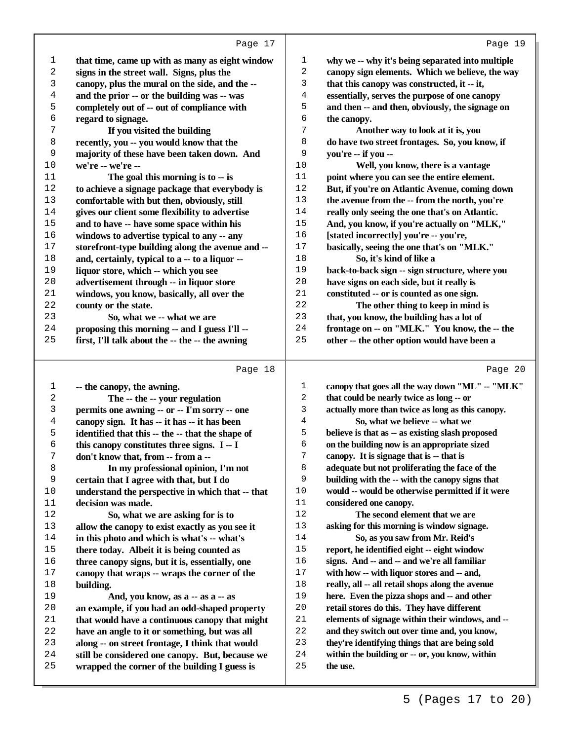Page 20

| 1       | that time, came up with as many as eight window  | 1  | why we -- why it's being separated into multiple |
|---------|--------------------------------------------------|----|--------------------------------------------------|
| 2       | signs in the street wall. Signs, plus the        | 2  | canopy sign elements. Which we believe, the way  |
| 3       | canopy, plus the mural on the side, and the --   | 3  | that this canopy was constructed, it -- it,      |
| 4       | and the prior -- or the building was -- was      | 4  | essentially, serves the purpose of one canopy    |
| 5       | completely out of -- out of compliance with      | 5  | and then -- and then, obviously, the signage on  |
| 6       | regard to signage.                               | 6  | the canopy.                                      |
| 7       | If you visited the building                      | 7  | Another way to look at it is, you                |
| $\,8\,$ | recently, you -- you would know that the         | 8  | do have two street frontages. So, you know, if   |
| 9       | majority of these have been taken down. And      | 9  | you're -- if you --                              |
| 10      | we're -- we're --                                | 10 | Well, you know, there is a vantage               |
| $11\,$  | The goal this morning is to -- is                | 11 | point where you can see the entire element.      |
| 12      | to achieve a signage package that everybody is   | 12 | But, if you're on Atlantic Avenue, coming down   |
| 13      | comfortable with but then, obviously, still      | 13 | the avenue from the -- from the north, you're    |
| 14      | gives our client some flexibility to advertise   | 14 | really only seeing the one that's on Atlantic.   |
| 15      | and to have -- have some space within his        | 15 | And, you know, if you're actually on "MLK,"      |
| 16      | windows to advertise typical to any -- any       | 16 | [stated incorrectly] you're -- you're,           |
| 17      | storefront-type building along the avenue and -- | 17 | basically, seeing the one that's on "MLK."       |
| 18      | and, certainly, typical to a -- to a liquor --   | 18 | So, it's kind of like a                          |
| 19      | liquor store, which -- which you see             | 19 | back-to-back sign -- sign structure, where you   |
| 20      | advertisement through -- in liquor store         | 20 | have signs on each side, but it really is        |
| 21      | windows, you know, basically, all over the       | 21 | constituted -- or is counted as one sign.        |
| 22      | county or the state.                             | 22 | The other thing to keep in mind is               |
| 23      | So, what we -- what we are                       | 23 | that, you know, the building has a lot of        |
| 24      | proposing this morning -- and I guess I'll --    | 24 | frontage on -- on "MLK." You know, the -- the    |
| 25      | first, I'll talk about the -- the -- the awning  | 25 | other -- the other option would have been a      |
|         |                                                  |    |                                                  |

## Page 18

| 1              | -- the canopy, the awning.                       | 1              | canopy that goes all the way down "ML" -- "MLK"  |
|----------------|--------------------------------------------------|----------------|--------------------------------------------------|
| $\overline{a}$ | The -- the -- your regulation                    | $\overline{2}$ | that could be nearly twice as long -- or         |
| 3              | permits one awning -- or -- I'm sorry -- one     | 3              | actually more than twice as long as this canopy. |
| 4              | canopy sign. It has -- it has -- it has been     | 4              | So, what we believe -- what we                   |
| 5              | identified that this -- the -- that the shape of | 5              | believe is that as -- as existing slash proposed |
| 6              | this canopy constitutes three signs. I -- I      | 6              | on the building now is an appropriate sized      |
| 7              | don't know that, from -- from a --               | 7              | canopy. It is signage that is -- that is         |
| 8              | In my professional opinion, I'm not              | 8              | adequate but not proliferating the face of the   |
| 9              | certain that I agree with that, but I do         | 9              | building with the -- with the canopy signs that  |
| 10             | understand the perspective in which that -- that | 10             | would -- would be otherwise permitted if it were |
| 11             | decision was made.                               | 11             | considered one canopy.                           |
| 12             | So, what we are asking for is to                 | 12             | The second element that we are                   |
| 13             | allow the canopy to exist exactly as you see it  | 13             | asking for this morning is window signage.       |
| 14             | in this photo and which is what's -- what's      | 14             | So, as you saw from Mr. Reid's                   |
| 15             | there today. Albeit it is being counted as       | 15             | report, he identified eight -- eight window      |
| 16             | three canopy signs, but it is, essentially, one  | 16             | signs. And -- and -- and we're all familiar      |
| 17             | canopy that wraps -- wraps the corner of the     | 17             | with how -- with liquor stores and -- and,       |
| 18             | building.                                        | 18             | really, all -- all retail shops along the avenue |
| 19             | And, you know, as a -- as a -- as                | 19             | here. Even the pizza shops and -- and other      |
| 20             | an example, if you had an odd-shaped property    | 20             | retail stores do this. They have different       |
| 21             | that would have a continuous canopy that might   | 21             | elements of signage within their windows, and -- |
| 22             | have an angle to it or something, but was all    | 22             | and they switch out over time and, you know,     |
| 23             | along -- on street frontage, I think that would  | 23             | they're identifying things that are being sold   |
| 24             | still be considered one canopy. But, because we  | 24             | within the building or -- or, you know, within   |
| 25             | wrapped the corner of the building I guess is    | 25             | the use.                                         |
|                |                                                  |                |                                                  |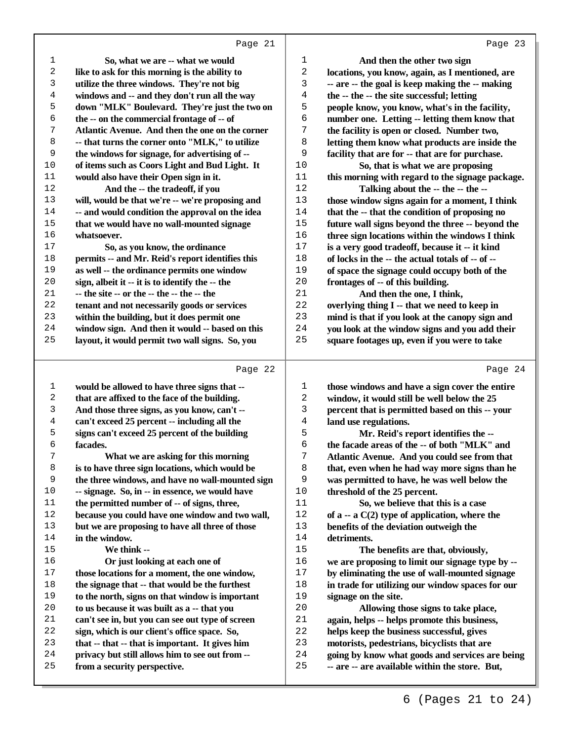| 1  | So, what we are -- what we would                 | 1              | And then the other two sign                      |
|----|--------------------------------------------------|----------------|--------------------------------------------------|
| 2  | like to ask for this morning is the ability to   | 2              | locations, you know, again, as I mentioned, are  |
| 3  | utilize the three windows. They're not big       | 3              | -- are -- the goal is keep making the -- making  |
| 4  | windows and -- and they don't run all the way    | $\overline{4}$ | the -- the -- the site successful; letting       |
| 5  | down "MLK" Boulevard. They're just the two on    | 5              | people know, you know, what's in the facility,   |
| 6  | the -- on the commercial frontage of -- of       | 6              | number one. Letting -- letting them know that    |
| 7  | Atlantic Avenue. And then the one on the corner  | 7              | the facility is open or closed. Number two,      |
| 8  | -- that turns the corner onto "MLK," to utilize  | 8              | letting them know what products are inside the   |
| 9  | the windows for signage, for advertising of --   | 9              | facility that are for -- that are for purchase.  |
| 10 | of items such as Coors Light and Bud Light. It   | 10             | So, that is what we are proposing                |
| 11 | would also have their Open sign in it.           | 11             | this morning with regard to the signage package. |
| 12 | And the -- the tradeoff, if you                  | 12             | Talking about the -- the -- the --               |
| 13 | will, would be that we're -- we're proposing and | 13             | those window signs again for a moment, I think   |
| 14 | -- and would condition the approval on the idea  | 14             | that the -- that the condition of proposing no   |
| 15 | that we would have no wall-mounted signage       | 15             | future wall signs beyond the three -- beyond the |
| 16 | whatsoever.                                      | 16             | three sign locations within the windows I think  |
| 17 | So, as you know, the ordinance                   | $17$           | is a very good tradeoff, because it -- it kind   |
| 18 | permits -- and Mr. Reid's report identifies this | 18             | of locks in the -- the actual totals of -- of -- |
| 19 | as well -- the ordinance permits one window      | 19             | of space the signage could occupy both of the    |
| 20 | sign, albeit it -- it is to identify the -- the  | 20             | frontages of -- of this building.                |
| 21 | -- the site -- or the -- the -- the -- the       | 21             | And then the one, I think,                       |
| 22 | tenant and not necessarily goods or services     | 22             | overlying thing I -- that we need to keep in     |
| 23 | within the building, but it does permit one      | 23             | mind is that if you look at the canopy sign and  |
| 24 | window sign. And then it would -- based on this  | 24             | you look at the window signs and you add their   |
| 25 | layout, it would permit two wall signs. So, you  | 25             | square footages up, even if you were to take     |
|    |                                                  |                |                                                  |
|    | Page 22                                          |                | Page 24                                          |
|    |                                                  |                |                                                  |

## Page

| 1  | would be allowed to have three signs that --     | 1  | those windows and have a sign cover the entire   |
|----|--------------------------------------------------|----|--------------------------------------------------|
| 2  | that are affixed to the face of the building.    | 2  | window, it would still be well below the 25      |
| 3  | And those three signs, as you know, can't --     | 3  | percent that is permitted based on this -- your  |
| 4  | can't exceed 25 percent -- including all the     | 4  | land use regulations.                            |
| 5  | signs can't exceed 25 percent of the building    | 5  | Mr. Reid's report identifies the --              |
| 6  | facades.                                         | 6  | the facade areas of the -- of both "MLK" and     |
| 7  | What we are asking for this morning              | 7  | Atlantic Avenue. And you could see from that     |
| 8  | is to have three sign locations, which would be  | 8  | that, even when he had way more signs than he    |
| 9  | the three windows, and have no wall-mounted sign | 9  | was permitted to have, he was well below the     |
| 10 | -- signage. So, in -- in essence, we would have  | 10 | threshold of the 25 percent.                     |
| 11 | the permitted number of -- of signs, three,      | 11 | So, we believe that this is a case               |
| 12 | because you could have one window and two wall,  | 12 | of $a - a C(2)$ type of application, where the   |
| 13 | but we are proposing to have all three of those  | 13 | benefits of the deviation outweigh the           |
| 14 | in the window.                                   | 14 | detriments.                                      |
| 15 | We think --                                      | 15 | The benefits are that, obviously,                |
| 16 | Or just looking at each one of                   | 16 | we are proposing to limit our signage type by -- |
| 17 | those locations for a moment, the one window,    | 17 | by eliminating the use of wall-mounted signage   |
| 18 | the signage that -- that would be the furthest   | 18 | in trade for utilizing our window spaces for our |
| 19 | to the north, signs on that window is important  | 19 | signage on the site.                             |
| 20 | to us because it was built as a -- that you      | 20 | Allowing those signs to take place,              |
| 21 | can't see in, but you can see out type of screen | 21 | again, helps -- helps promote this business,     |
| 22 | sign, which is our client's office space. So,    | 22 | helps keep the business successful, gives        |
| 23 | that -- that -- that is important. It gives him  | 23 | motorists, pedestrians, bicyclists that are      |
| 24 | privacy but still allows him to see out from --  | 24 | going by know what goods and services are being  |
| 25 | from a security perspective.                     | 25 | -- are -- are available within the store. But,   |
|    |                                                  |    |                                                  |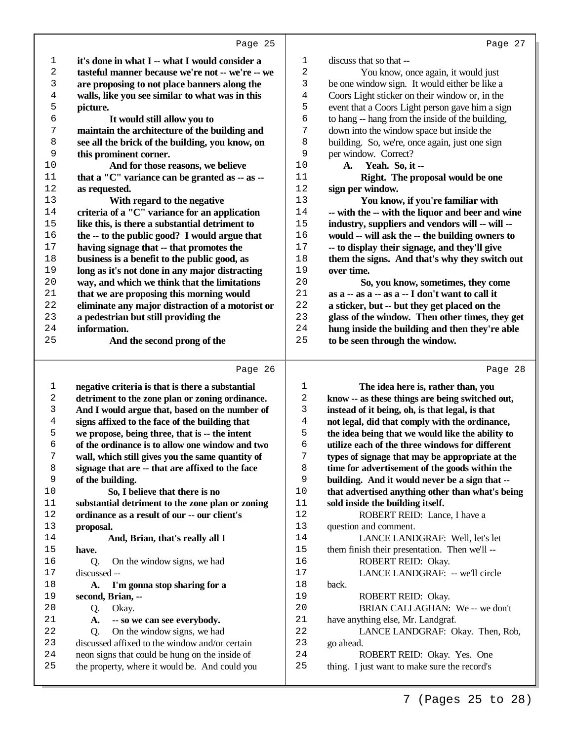|          | Page 25                                                                                   |             | Page 27                                                               |
|----------|-------------------------------------------------------------------------------------------|-------------|-----------------------------------------------------------------------|
| 1        | it's done in what I -- what I would consider a                                            | $\mathbf 1$ | discuss that so that --                                               |
| 2        | tasteful manner because we're not -- we're -- we                                          | 2           | You know, once again, it would just                                   |
| 3        | are proposing to not place banners along the                                              | 3           | be one window sign. It would either be like a                         |
| 4        | walls, like you see similar to what was in this                                           | 4           | Coors Light sticker on their window or, in the                        |
| 5        | picture.                                                                                  | 5           | event that a Coors Light person gave him a sign                       |
| б        | It would still allow you to                                                               | 6           | to hang -- hang from the inside of the building,                      |
| 7        | maintain the architecture of the building and                                             | 7           | down into the window space but inside the                             |
| 8        | see all the brick of the building, you know, on                                           | 8           | building. So, we're, once again, just one sign                        |
| 9        | this prominent corner.                                                                    | 9           | per window. Correct?                                                  |
| 10       | And for those reasons, we believe                                                         | 10          | A. Yeah. So, it --                                                    |
| 11       | that a "C" variance can be granted as -- as --                                            | 11          | Right. The proposal would be one                                      |
| 12       | as requested.                                                                             | 12          | sign per window.                                                      |
| 13       | With regard to the negative                                                               | 13          | You know, if you're familiar with                                     |
| 14       | criteria of a "C" variance for an application                                             | 14          | -- with the -- with the liquor and beer and wine                      |
| 15       | like this, is there a substantial detriment to                                            | 15          | industry, suppliers and vendors will -- will --                       |
| 16       |                                                                                           | 16          |                                                                       |
| $17$     | the -- to the public good? I would argue that<br>having signage that -- that promotes the | 17          | would -- will ask the -- the building owners to                       |
| 18       |                                                                                           | 18          | -- to display their signage, and they'll give                         |
|          | business is a benefit to the public good, as                                              | 19          | them the signs. And that's why they switch out                        |
| 19       | long as it's not done in any major distracting                                            |             | over time.                                                            |
| 20       | way, and which we think that the limitations                                              | 20          | So, you know, sometimes, they come                                    |
| 21<br>22 | that we are proposing this morning would                                                  | 21<br>22    | as a -- as a -- as a -- I don't want to call it                       |
|          | eliminate any major distraction of a motorist or                                          |             | a sticker, but -- but they get placed on the                          |
| 23       | a pedestrian but still providing the                                                      | 23          | glass of the window. Then other times, they get                       |
| 24<br>25 | information.                                                                              | 24<br>25    | hung inside the building and then they're able                        |
|          | And the second prong of the                                                               |             | to be seen through the window.                                        |
|          | Page 26                                                                                   |             | Page 28                                                               |
| 1        | negative criteria is that is there a substantial                                          | 1           | The idea here is, rather than, you                                    |
| 2        | detriment to the zone plan or zoning ordinance.                                           | 2           | know -- as these things are being switched out,                       |
| 3        | And I would argue that, based on the number of                                            | 3           | instead of it being, oh, is that legal, is that                       |
| 4        | signs affixed to the face of the building that                                            | 4           | not legal, did that comply with the ordinance,                        |
| 5        | we propose, being three, that is -- the intent                                            | 5           | the idea being that we would like the ability to                      |
| б        | of the ordinance is to allow one window and two                                           | 6           | utilize each of the three windows for different                       |
| 7        | wall, which still gives you the same quantity of                                          | 7           | types of signage that may be appropriate at the                       |
| 8        | signage that are -- that are affixed to the face                                          | 8           | time for advertisement of the goods within the                        |
| 9        | of the building.                                                                          | 9           | building. And it would never be a sign that --                        |
| 10       | So, I believe that there is no                                                            | 10          | that advertised anything other than what's being                      |
| 11       | substantial detriment to the zone plan or zoning                                          | 11          | sold inside the building itself.                                      |
| $1\,2$   | ordinance as a result of our -- our client's                                              | 12          | ROBERT REID: Lance, I have a                                          |
| 13       | proposal.                                                                                 | $13$        | question and comment.                                                 |
| 14       | And, Brian, that's really all I                                                           | 14          | LANCE LANDGRAF: Well, let's let                                       |
| 15       | have.                                                                                     | 15          | them finish their presentation. Then we'll --                         |
| 16       | On the window signs, we had<br>Q.                                                         | 16          | ROBERT REID: Okay.                                                    |
| 17       | discussed --                                                                              | $17$        | LANCE LANDGRAF: -- we'll circle                                       |
| 18       |                                                                                           | 18          | back.                                                                 |
|          |                                                                                           |             |                                                                       |
| 19       | I'm gonna stop sharing for a<br>A.                                                        | 19          |                                                                       |
|          | second, Brian, --                                                                         |             | ROBERT REID: Okay.                                                    |
| 20       | Q.<br>Okay.                                                                               | 20          | BRIAN CALLAGHAN: We -- we don't                                       |
| 21<br>22 | -- so we can see everybody.<br>A.<br>On the window signs, we had<br>Q.                    | 21<br>22    | have anything else, Mr. Landgraf.<br>LANCE LANDGRAF: Okay. Then, Rob, |

23 go ahead.<br>24 R

 neon signs that could be hung on the inside of the property, where it would be. And could you 24 ROBERT REID: Okay. Yes. One<br>25 thing. I just want to make sure the record's thing. I just want to make sure the record's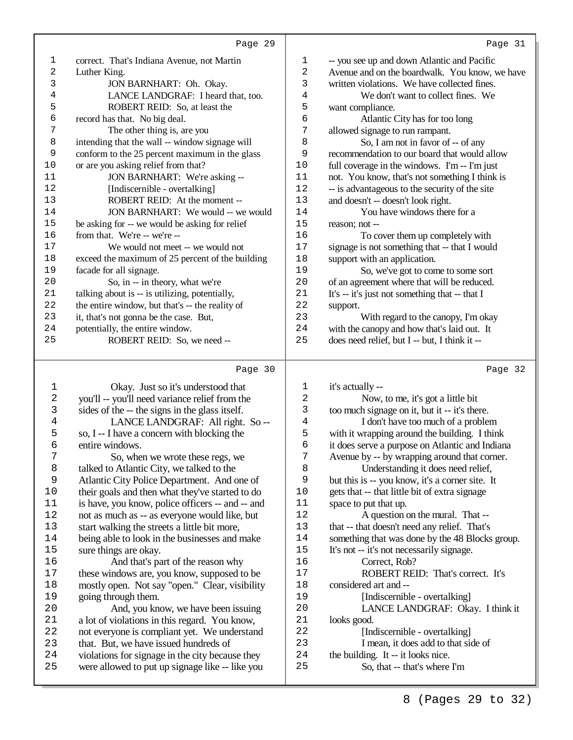| $\mathbf 1$ | correct. That's Indiana Avenue, not Martin                             | 1        | -- you see up and down Atlantic and Pacific                       |
|-------------|------------------------------------------------------------------------|----------|-------------------------------------------------------------------|
| 2           | Luther King.                                                           | 2        | Avenue and on the boardwalk. You know, we have                    |
| 3           | JON BARNHART: Oh. Okay.                                                | 3        | written violations. We have collected fines.                      |
| 4           | LANCE LANDGRAF: I heard that, too.                                     | 4        | We don't want to collect fines. We                                |
| 5           | ROBERT REID: So, at least the                                          | 5        | want compliance.                                                  |
| 6           | record has that. No big deal.                                          | 6        | Atlantic City has for too long                                    |
| 7           | The other thing is, are you                                            | 7        | allowed signage to run rampant.                                   |
| 8           | intending that the wall -- window signage will                         | 8        | So, I am not in favor of -- of any                                |
| 9           | conform to the 25 percent maximum in the glass                         | 9        | recommendation to our board that would allow                      |
| 10          | or are you asking relief from that?                                    | $10$     | full coverage in the windows. I'm -- I'm just                     |
| 11          | JON BARNHART: We're asking --                                          | $11$     | not. You know, that's not something I think is                    |
| 12          | [Indiscernible - overtalking]                                          | 12       | -- is advantageous to the security of the site                    |
| 13          | ROBERT REID: At the moment --                                          | 13       | and doesn't -- doesn't look right.                                |
| 14          | JON BARNHART: We would -- we would                                     | 14       | You have windows there for a                                      |
| 15          | be asking for -- we would be asking for relief                         | 15       | reason; not --                                                    |
| 16          | from that. We're -- we're --                                           | 16       | To cover them up completely with                                  |
| $17$        | We would not meet -- we would not                                      | $17$     | signage is not something that -- that I would                     |
| $18\,$      | exceed the maximum of 25 percent of the building                       | 18       | support with an application.                                      |
| 19          | facade for all signage.                                                | 19       | So, we've got to come to some sort                                |
| 20          | So, in -- in theory, what we're                                        | 20       |                                                                   |
| 21          | talking about is -- is utilizing, potentially,                         | 21       | of an agreement where that will be reduced.                       |
| 22          |                                                                        | 22       | It's -- it's just not something that -- that I                    |
|             | the entire window, but that's -- the reality of                        |          | support.                                                          |
| 23          | it, that's not gonna be the case. But,                                 | 23       | With regard to the canopy, I'm okay                               |
| 24          | potentially, the entire window.                                        | 24       | with the canopy and how that's laid out. It                       |
| 25          | ROBERT REID: So, we need --                                            | 25       | does need relief, but I -- but, I think it --                     |
|             | Page 30                                                                |          | Page 32                                                           |
| $\mathbf 1$ | Okay. Just so it's understood that                                     | 1        | it's actually --                                                  |
| $\sqrt{2}$  | you'll -- you'll need variance relief from the                         | 2        | Now, to me, it's got a little bit                                 |
| 3           | sides of the -- the signs in the glass itself.                         | 3        | too much signage on it, but it -- it's there.                     |
| 4           | LANCE LANDGRAF: All right. So --                                       | 4        | I don't have too much of a problem                                |
| 5           | so, I -- I have a concern with blocking the                            | 5        | with it wrapping around the building. I think                     |
| б           | entire windows.                                                        | б        | it does serve a purpose on Atlantic and Indiana                   |
| 7           | So, when we wrote these regs, we                                       | 7        | Avenue by -- by wrapping around that corner.                      |
| 8           | talked to Atlantic City, we talked to the                              | 8        | Understanding it does need relief,                                |
| $\mathsf 9$ | Atlantic City Police Department. And one of                            | 9        | but this is -- you know, it's a corner site. It                   |
| $10$        | their goals and then what they've started to do                        | 10       | gets that -- that little bit of extra signage                     |
| 11          | is have, you know, police officers -- and -- and                       | 11       | space to put that up.                                             |
| 12          | not as much as -- as everyone would like, but                          | 12       | A question on the mural. That --                                  |
| 13          | start walking the streets a little bit more,                           | 13       | that -- that doesn't need any relief. That's                      |
| 14          |                                                                        | 14       | something that was done by the 48 Blocks group.                   |
| $15$        | being able to look in the businesses and make<br>sure things are okay. | 15       |                                                                   |
|             |                                                                        | 16       | It's not -- it's not necessarily signage.                         |
| 16          | And that's part of the reason why                                      | $17$     | Correct, Rob?                                                     |
| 17          | these windows are, you know, supposed to be                            |          | ROBERT REID: That's correct. It's                                 |
| $18\,$      | mostly open. Not say "open." Clear, visibility                         | 18       | considered art and --                                             |
| 19<br>20    | going through them.<br>And, you know, we have been issuing             | 19<br>20 | [Indiscernible - overtalking]<br>LANCE LANDGRAF: Okay. I think it |
|             |                                                                        |          |                                                                   |

21 looks good.<br>22 [Inc

22 [Indiscernible - overtalking]<br>23 I mean, it does add to that sid 23 I mean, it does add to that side of<br>24 the building. It -- it looks nice.

 And, you know, we have been issuing a lot of violations in this regard. You know, 22 not everyone is compliant yet. We understand<br>23 that. But, we have issued hundreds of 23 that. But, we have issued hundreds of<br>24 violations for signage in the city becau violations for signage in the city because they were allowed to put up signage like -- like you

24 the building. It -- it looks nice.<br>25 So, that -- that's where So, that -- that's where I'm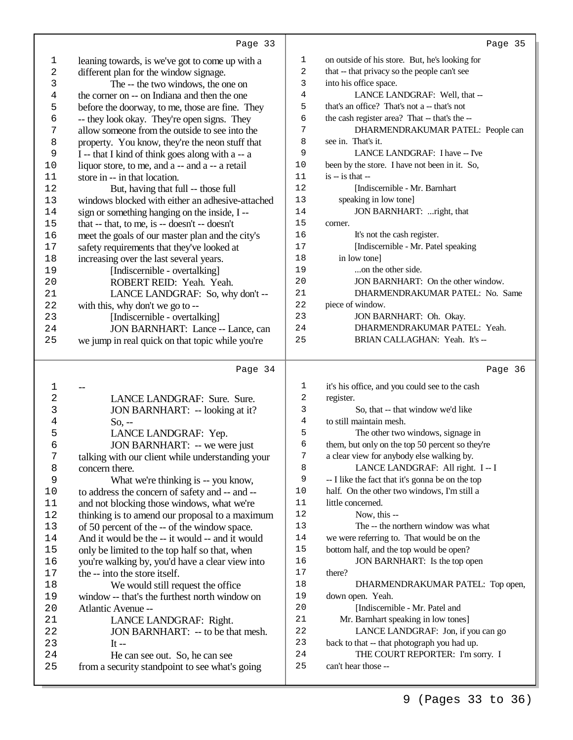ı

|             | Page 33                                          |                | Page 35                                          |
|-------------|--------------------------------------------------|----------------|--------------------------------------------------|
| $\mathbf 1$ | leaning towards, is we've got to come up with a  | 1              | on outside of his store. But, he's looking for   |
| 2           | different plan for the window signage.           | 2              | that -- that privacy so the people can't see     |
| 3           | The -- the two windows, the one on               | 3              | into his office space.                           |
| 4           | the corner on -- on Indiana and then the one     | 4              | LANCE LANDGRAF: Well, that --                    |
| 5           | before the doorway, to me, those are fine. They  | 5              | that's an office? That's not a -- that's not     |
| б           | -- they look okay. They're open signs. They      | 6              | the cash register area? That -- that's the --    |
| 7           | allow someone from the outside to see into the   | 7              | DHARMENDRAKUMAR PATEL: People can                |
| 8           | property. You know, they're the neon stuff that  | 8              | see in. That's it.                               |
| 9           | I -- that I kind of think goes along with a -- a | 9              | LANCE LANDGRAF: I have -- I've                   |
| 10          | liquor store, to me, and a -- and a -- a retail  | 10             | been by the store. I have not been in it. So,    |
| 11          | store in -- in that location.                    | 11             | $is - is that -$                                 |
| 12          | But, having that full -- those full              | 12             | [Indiscernible - Mr. Barnhart                    |
| 13          | windows blocked with either an adhesive-attached | 13             | speaking in low tone]                            |
| 14          | sign or something hanging on the inside, I --    | 14             | JON BARNHART: right, that                        |
| 15          | that -- that, to me, is -- doesn't -- doesn't    | 15             | corner.                                          |
| 16          | meet the goals of our master plan and the city's | 16             | It's not the cash register.                      |
| 17          | safety requirements that they've looked at       | 17             | [Indiscernible - Mr. Patel speaking              |
| 18          | increasing over the last several years.          | $18\,$         | in low tone]                                     |
| 19          | [Indiscernible - overtalking]                    | 19             | on the other side.                               |
| 20          | ROBERT REID: Yeah. Yeah.                         | 20             | JON BARNHART: On the other window.               |
| 21          | LANCE LANDGRAF: So, why don't --                 | 21             | DHARMENDRAKUMAR PATEL: No. Same                  |
| 22          | with this, why don't we go to --                 | 22             | piece of window.                                 |
| 23          | [Indiscernible - overtalking]                    | 23             | JON BARNHART: Oh. Okay.                          |
| 24          | JON BARNHART: Lance -- Lance, can                | 24             | DHARMENDRAKUMAR PATEL: Yeah.                     |
| 25          | we jump in real quick on that topic while you're | 25             | BRIAN CALLAGHAN: Yeah. It's --                   |
|             |                                                  |                |                                                  |
|             | Page 34                                          |                | Page 36                                          |
| 1           |                                                  | 1              | it's his office, and you could see to the cash   |
| $\sqrt{2}$  | LANCE LANDGRAF: Sure. Sure.                      | 2              | register.                                        |
| 3           | JON BARNHART: -- looking at it?                  | 3              | So, that -- that window we'd like                |
| 4           | $So, -$                                          | $\overline{4}$ | to still maintain mesh.                          |
| 5           | LANCE LANDGRAF: Yep.                             | 5              | The other two windows, signage in                |
| 6           | JON BARNHART: -- we were just                    | 6              | them, but only on the top 50 percent so they're  |
| 7           | talking with our client while understanding your | 7              | a clear view for anybody else walking by.        |
| 8           | concern there.                                   | 8              | LANCE LANDGRAF: All right. I -- I                |
| 9           | What we're thinking is -- you know,              | 9              | -- I like the fact that it's gonna be on the top |
| 10          | to address the concern of safety and -- and --   | 10             | half. On the other two windows, I'm still a      |
| 11          | and not blocking those windows, what we're       | 11             | little concerned.                                |
| 12          | thinking is to amend our proposal to a maximum   | 12             | Now, this --                                     |
| 13          | of 50 percent of the -- of the window space.     | 13             | The -- the northern window was what              |
| 14          | And it would be the -- it would -- and it would  | $14$           | we were referring to. That would be on the       |
| 15          | only be limited to the top half so that, when    | $15$           | bottom half, and the top would be open?          |
| 16          | you're walking by, you'd have a clear view into  | 16             | JON BARNHART: Is the top open                    |
| 17          | the -- into the store itself.                    | $17$           | there?                                           |
| 18          | We would still request the office                | 18             | DHARMENDRAKUMAR PATEL: Top open,                 |

down open. Yeah.

can't hear those --

 [Indiscernible - Mr. Patel and Mr. Barnhart speaking in low tones]

22 LANCE LANDGRAF: Jon, if you can go<br>23 back to that -- that photograph you had up. back to that -- that photograph you had up. 24 THE COURT REPORTER: I'm sorry. I<br>25 can't hear those --

| 18 | We would still request the office             |
|----|-----------------------------------------------|
| 19 | window -- that's the furthest north window on |
| 20 | Atlantic Avenue --                            |

| 2.1  | LANCE LANDGRAF: Right.                         |
|------|------------------------------------------------|
| 2.2. | JON BARNHART: -- to be that mesh.              |
| 23   | It $-$                                         |
| 2.4  | He can see out. So, he can see                 |
| 25   | from a security standpoint to see what's going |

Page 35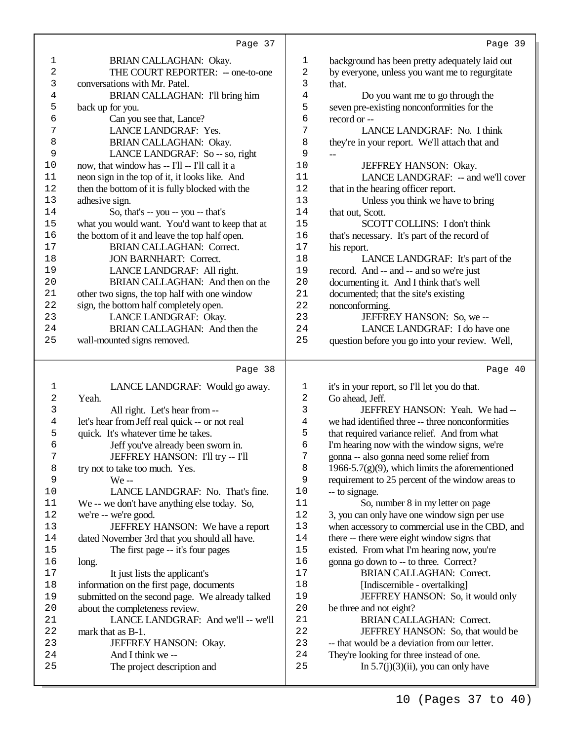|                | Page 37                                          |          | Page 39                                                                             |
|----------------|--------------------------------------------------|----------|-------------------------------------------------------------------------------------|
| 1              | BRIAN CALLAGHAN: Okay.                           | 1        | background has been pretty adequately laid out                                      |
| 2              | THE COURT REPORTER: -- one-to-one                | 2        | by everyone, unless you want me to regurgitate                                      |
| 3              | conversations with Mr. Patel.                    | 3        | that.                                                                               |
| 4              | BRIAN CALLAGHAN: I'll bring him                  | 4        | Do you want me to go through the                                                    |
| 5              | back up for you.                                 | 5        | seven pre-existing nonconformities for the                                          |
| 6              | Can you see that, Lance?                         | 6        | record or --                                                                        |
| 7              | LANCE LANDGRAF: Yes.                             | 7        | LANCE LANDGRAF: No. I think                                                         |
| 8              | BRIAN CALLAGHAN: Okay.                           | 8        | they're in your report. We'll attach that and                                       |
| 9              | LANCE LANDGRAF: So -- so, right                  | 9        |                                                                                     |
| 10             | now, that window has -- I'll -- I'll call it a   | $10$     | JEFFREY HANSON: Okay.                                                               |
| 11             | neon sign in the top of it, it looks like. And   | $11\,$   | LANCE LANDGRAF: -- and we'll cover                                                  |
| 12             | then the bottom of it is fully blocked with the  | 12       | that in the hearing officer report.                                                 |
| 13             | adhesive sign.                                   | 13       | Unless you think we have to bring                                                   |
| 14             | So, that's -- you -- you -- that's               | 14       | that out, Scott.                                                                    |
| 15             | what you would want. You'd want to keep that at  | 15       | SCOTT COLLINS: I don't think                                                        |
| 16             | the bottom of it and leave the top half open.    | 16       | that's necessary. It's part of the record of                                        |
| 17             | <b>BRIAN CALLAGHAN: Correct.</b>                 | 17       | his report.                                                                         |
| 18             | <b>JON BARNHART: Correct.</b>                    | 18       | LANCE LANDGRAF: It's part of the                                                    |
| 19             | LANCE LANDGRAF: All right.                       | 19       | record. And -- and -- and so we're just                                             |
| 20             | BRIAN CALLAGHAN: And then on the                 | 20       | documenting it. And I think that's well                                             |
| 21             | other two signs, the top half with one window    | 21       | documented; that the site's existing                                                |
| 22             | sign, the bottom half completely open.           | 22       | nonconforming.                                                                      |
| 23             | LANCE LANDGRAF: Okay.                            | 23       | JEFFREY HANSON: So, we --                                                           |
| 24             | BRIAN CALLAGHAN: And then the                    | 24       | LANCE LANDGRAF: I do have one                                                       |
| 25             | wall-mounted signs removed.                      | 25       | question before you go into your review. Well,                                      |
|                |                                                  |          |                                                                                     |
|                | Page 38                                          |          | Page 40                                                                             |
| 1              |                                                  | 1        | it's in your report, so I'll let you do that.                                       |
| $\sqrt{2}$     | LANCE LANDGRAF: Would go away.<br>Yeah.          | 2        | Go ahead, Jeff.                                                                     |
| 3              | All right. Let's hear from --                    | 3        | JEFFREY HANSON: Yeah. We had --                                                     |
| $\overline{4}$ | let's hear from Jeff real quick -- or not real   | 4        | we had identified three -- three nonconformities                                    |
| 5              | quick. It's whatever time he takes.              | 5        | that required variance relief. And from what                                        |
| 6              | Jeff you've already been sworn in.               | 6        | I'm hearing now with the window signs, we're                                        |
| 7              | JEFFREY HANSON: I'll try -- I'll                 | 7        | gonna -- also gonna need some relief from                                           |
| 8              | try not to take too much. Yes.                   | 8        | $1966 - 5.7(g)(9)$ , which limits the aforementioned                                |
| 9              | $We -$                                           | 9        | requirement to 25 percent of the window areas to                                    |
| 10             | LANCE LANDGRAF: No. That's fine.                 | 10       | -- to signage.                                                                      |
| 11             | We -- we don't have anything else today. So,     | 11       | So, number 8 in my letter on page                                                   |
| 12             | we're -- we're good.                             | $1\,2$   | 3, you can only have one window sign per use                                        |
| 13             | JEFFREY HANSON: We have a report                 | 13       | when accessory to commercial use in the CBD, and                                    |
| 14             | dated November 3rd that you should all have.     | 14       | there -- there were eight window signs that                                         |
| 15             | The first page -- it's four pages                | 15       | existed. From what I'm hearing now, you're                                          |
| 16             | long.                                            | 16       | gonna go down to -- to three. Correct?                                              |
| 17             | It just lists the applicant's                    | $17$     | <b>BRIAN CALLAGHAN: Correct.</b>                                                    |
| 18             | information on the first page, documents         | 18       | [Indiscernible - overtalking]                                                       |
| 19             | submitted on the second page. We already talked  | 19       | JEFFREY HANSON: So, it would only                                                   |
| 20             | about the completeness review.                   | 20       | be three and not eight?                                                             |
| 21             | LANCE LANDGRAF: And we'll -- we'll               | 21       | <b>BRIAN CALLAGHAN: Correct.</b>                                                    |
| 22             | mark that as B-1.                                | 22       | JEFFREY HANSON: So, that would be                                                   |
| 23             | JEFFREY HANSON: Okay.                            | 23       | -- that would be a deviation from our letter.                                       |
| 24<br>25       | And I think we --<br>The project description and | 24<br>25 | They're looking for three instead of one.<br>In $5.7(j)(3)(ii)$ , you can only have |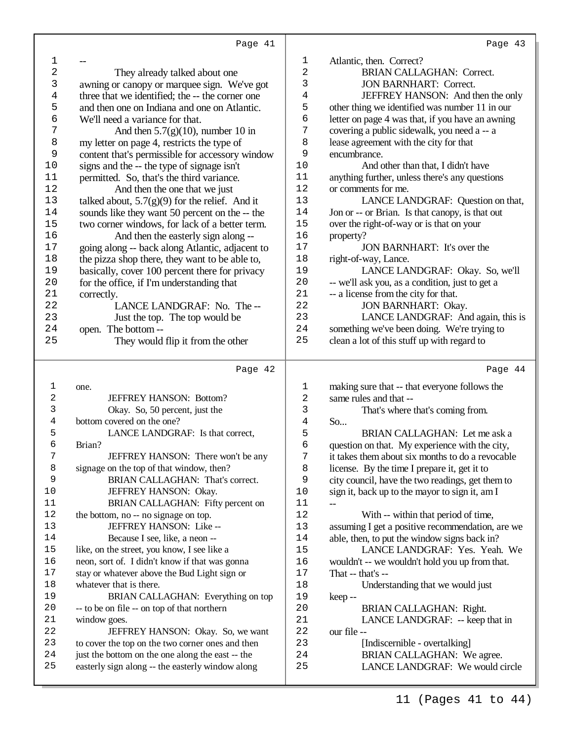| 1              |                                                                                                      | 1        | Atlantic, then. Correct?                                      |  |  |
|----------------|------------------------------------------------------------------------------------------------------|----------|---------------------------------------------------------------|--|--|
| $\overline{c}$ | They already talked about one                                                                        |          | <b>BRIAN CALLAGHAN: Correct.</b>                              |  |  |
| 3              | awning or canopy or marquee sign. We've got                                                          |          | <b>JON BARNHART: Correct.</b>                                 |  |  |
| 4              | three that we identified; the -- the corner one                                                      |          | JEFFREY HANSON: And then the only                             |  |  |
| 5              | and then one on Indiana and one on Atlantic.                                                         | 4<br>5   | other thing we identified was number 11 in our                |  |  |
| б              | We'll need a variance for that.                                                                      | 6        | letter on page 4 was that, if you have an awning              |  |  |
| 7              | And then $5.7(g)(10)$ , number 10 in                                                                 | 7        | covering a public sidewalk, you need a -- a                   |  |  |
| 8              | my letter on page 4, restricts the type of                                                           | 8        | lease agreement with the city for that                        |  |  |
| 9              | content that's permissible for accessory window                                                      | 9        | encumbrance.                                                  |  |  |
| 10             | signs and the -- the type of signage isn't                                                           | 10       | And other than that, I didn't have                            |  |  |
| 11             | permitted. So, that's the third variance.                                                            | 11       | anything further, unless there's any questions                |  |  |
| 12             |                                                                                                      | 12       | or comments for me.                                           |  |  |
| 13             | And then the one that we just                                                                        | 13       | LANCE LANDGRAF: Question on that,                             |  |  |
| 14             | talked about, $5.7(g)(9)$ for the relief. And it                                                     | 14       |                                                               |  |  |
|                | sounds like they want 50 percent on the -- the                                                       | 15       | Jon or -- or Brian. Is that canopy, is that out               |  |  |
| 15<br>16       | two corner windows, for lack of a better term.                                                       | 16       | over the right-of-way or is that on your                      |  |  |
|                | And then the easterly sign along --                                                                  |          | property?                                                     |  |  |
| 17             | going along -- back along Atlantic, adjacent to                                                      | 17       | JON BARNHART: It's over the                                   |  |  |
| 18             | the pizza shop there, they want to be able to,                                                       | $18\,$   | right-of-way, Lance.                                          |  |  |
| 19             | basically, cover 100 percent there for privacy                                                       | 19       | LANCE LANDGRAF: Okay. So, we'll                               |  |  |
| 20             | for the office, if I'm understanding that                                                            | 20       | -- we'll ask you, as a condition, just to get a               |  |  |
| 21             | correctly.                                                                                           | 21       | -- a license from the city for that.                          |  |  |
| 22             | LANCE LANDGRAF: No. The--                                                                            | 22       | <b>JON BARNHART: Okay.</b>                                    |  |  |
| 23             | Just the top. The top would be                                                                       | 23       | LANCE LANDGRAF: And again, this is                            |  |  |
| 24             | open. The bottom--                                                                                   | 24       | something we've been doing. We're trying to                   |  |  |
| 25             | They would flip it from the other                                                                    | 25       | clean a lot of this stuff up with regard to                   |  |  |
|                |                                                                                                      |          |                                                               |  |  |
|                |                                                                                                      |          |                                                               |  |  |
|                | Page 42                                                                                              |          | Page 44                                                       |  |  |
|                |                                                                                                      |          |                                                               |  |  |
| 1              | one.                                                                                                 | 1        | making sure that -- that everyone follows the                 |  |  |
| 2              | JEFFREY HANSON: Bottom?                                                                              | 2        | same rules and that --                                        |  |  |
| 3              | Okay. So, 50 percent, just the                                                                       | 3        | That's where that's coming from.                              |  |  |
| 4              | bottom covered on the one?                                                                           | 4        | So                                                            |  |  |
| 5              | LANCE LANDGRAF: Is that correct,                                                                     | 5        | BRIAN CALLAGHAN: Let me ask a                                 |  |  |
| б              | Brian?                                                                                               | 6        | question on that. My experience with the city,                |  |  |
| 7              | JEFFREY HANSON: There won't be any                                                                   | 7        | it takes them about six months to do a revocable              |  |  |
| 8              | signage on the top of that window, then?                                                             | 8        | license. By the time I prepare it, get it to                  |  |  |
| 9              | BRIAN CALLAGHAN: That's correct.                                                                     | 9        | city council, have the two readings, get them to              |  |  |
| 10             | JEFFREY HANSON: Okay.                                                                                | 10       | sign it, back up to the mayor to sign it, am I                |  |  |
| 11             | BRIAN CALLAGHAN: Fifty percent on                                                                    | 11       |                                                               |  |  |
| 12             | the bottom, no -- no signage on top.                                                                 | $12$     | With -- within that period of time,                           |  |  |
| 13             | JEFFREY HANSON: Like --                                                                              | 13       | assuming I get a positive recommendation, are we              |  |  |
| 14             | Because I see, like, a neon --                                                                       | 14       | able, then, to put the window signs back in?                  |  |  |
| 15             | like, on the street, you know, I see like a                                                          | 15       | LANCE LANDGRAF: Yes. Yeah. We                                 |  |  |
| 16             | neon, sort of. I didn't know if that was gonna                                                       | 16       | wouldn't -- we wouldn't hold you up from that.                |  |  |
| $17$           | stay or whatever above the Bud Light sign or                                                         | 17       | That $-$ that's $-$                                           |  |  |
| 18             | whatever that is there.                                                                              | 18       | Understanding that we would just                              |  |  |
| 19             | BRIAN CALLAGHAN: Everything on top                                                                   | 19       | keep--                                                        |  |  |
| 20             | -- to be on file -- on top of that northern                                                          | 20       | BRIAN CALLAGHAN: Right.                                       |  |  |
| 21             | window goes.                                                                                         | 21       | LANCE LANDGRAF: -- keep that in                               |  |  |
| 22             | JEFFREY HANSON: Okay. So, we want                                                                    | 22       | our file --                                                   |  |  |
| 23             | to cover the top on the two corner ones and then                                                     | 23       | [Indiscernible - overtalking]                                 |  |  |
| 24<br>25       | just the bottom on the one along the east -- the<br>easterly sign along -- the easterly window along | 24<br>25 | BRIAN CALLAGHAN: We agree.<br>LANCE LANDGRAF: We would circle |  |  |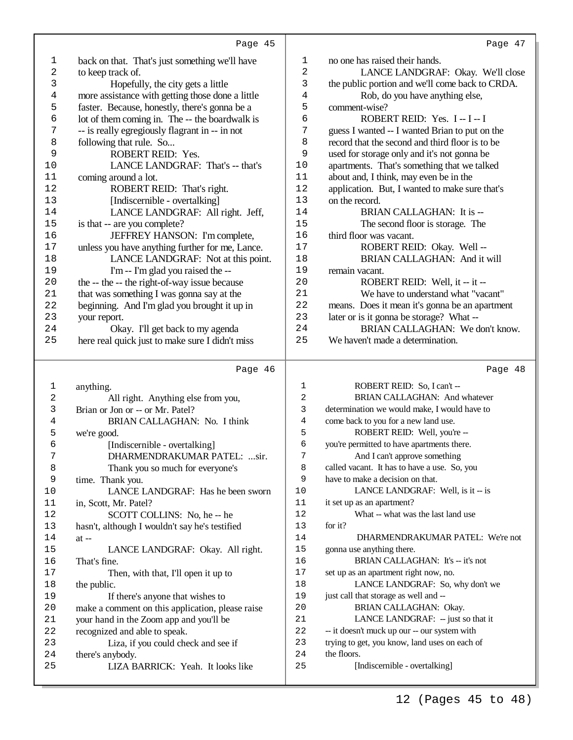| 1          | back on that. That's just something we'll have        | 1        | no one has raised their hands.                  |
|------------|-------------------------------------------------------|----------|-------------------------------------------------|
| 2          | to keep track of.                                     | 2        | LANCE LANDGRAF: Okay. We'll close               |
| 3          | Hopefully, the city gets a little                     | 3        | the public portion and we'll come back to CRDA. |
| 4          | more assistance with getting those done a little      | 4        | Rob, do you have anything else,                 |
| 5          | faster. Because, honestly, there's gonna be a         | 5        | comment-wise?                                   |
| б          | lot of them coming in. The -- the boardwalk is        | 6<br>7   | ROBERT REID: Yes. I-I-I                         |
| 7          | -- is really egregiously flagrant in -- in not        |          | guess I wanted -- I wanted Brian to put on the  |
| 8          | following that rule. So                               | 8        | record that the second and third floor is to be |
| 9          | ROBERT REID: Yes.                                     | 9        | used for storage only and it's not gonna be     |
| 10         | LANCE LANDGRAF: That's -- that's                      | 10       | apartments. That's something that we talked     |
| 11         | coming around a lot.                                  | 11       | about and, I think, may even be in the          |
| 12         | ROBERT REID: That's right.                            | 12       | application. But, I wanted to make sure that's  |
| 13         | [Indiscernible - overtalking]                         | 13       | on the record.                                  |
| 14         | LANCE LANDGRAF: All right. Jeff,                      | 14       | <b>BRIAN CALLAGHAN:</b> It is --                |
| $15$       | is that -- are you complete?                          | 15       | The second floor is storage. The                |
| 16         | JEFFREY HANSON: I'm complete,                         | 16       | third floor was vacant.                         |
| $17$       | unless you have anything further for me, Lance.       | 17       | ROBERT REID: Okay. Well --                      |
| 18         | LANCE LANDGRAF: Not at this point.                    | 18       | <b>BRIAN CALLAGHAN: And it will</b>             |
| 19         | I'm -- I'm glad you raised the --                     | 19       | remain vacant.                                  |
| 20         | the -- the -- the right-of-way issue because          | 20       | ROBERT REID: Well, it -- it --                  |
| 21         | that was something I was gonna say at the             | 21       | We have to understand what "vacant"             |
| 22         | beginning. And I'm glad you brought it up in          | 22       | means. Does it mean it's gonna be an apartment  |
| 23         | your report.                                          | 23       | later or is it gonna be storage? What --        |
| 24         | Okay. I'll get back to my agenda                      | 24       | BRIAN CALLAGHAN: We don't know.                 |
| 25         | here real quick just to make sure I didn't miss       | 25       | We haven't made a determination.                |
|            |                                                       |          |                                                 |
|            |                                                       |          |                                                 |
|            | Page 46                                               |          | Page 48                                         |
|            |                                                       |          |                                                 |
| 1          | anything.                                             | 1        | ROBERT REID: So, I can't --                     |
| $\sqrt{2}$ | All right. Anything else from you,                    | 2        | BRIAN CALLAGHAN: And whatever                   |
| 3          | Brian or Jon or -- or Mr. Patel?                      | 3        | determination we would make, I would have to    |
| 4          | BRIAN CALLAGHAN: No. I think                          | 4        | come back to you for a new land use.            |
| 5          | we're good.                                           | 5        | ROBERT REID: Well, you're --                    |
| 6          | [Indiscernible - overtalking]                         | 6        | you're permitted to have apartments there.      |
| 7          | DHARMENDRAKUMAR PATEL: sir.                           | 7        | And I can't approve something                   |
| 8          | Thank you so much for everyone's                      | 8        | called vacant. It has to have a use. So, you    |
| 9          | time. Thank you.                                      | 9        | have to make a decision on that.                |
| 10         | LANCE LANDGRAF: Has he been sworn                     | 10       | LANCE LANDGRAF: Well, is it -- is               |
| 11         | in, Scott, Mr. Patel?                                 | 11       | it set up as an apartment?                      |
| 12         | SCOTT COLLINS: No, he-- he                            | 12       | What -- what was the last land use              |
| 13         | hasn't, although I wouldn't say he's testified        | 13       | for it?                                         |
| 14         | $at -$                                                | 14       | DHARMENDRAKUMAR PATEL: We're not                |
| 15         | LANCE LANDGRAF: Okay. All right.                      | 15       | gonna use anything there.                       |
| 16         | That's fine.                                          | 16       | BRIAN CALLAGHAN: It's -- it's not               |
| 17         | Then, with that, I'll open it up to                   | 17       | set up as an apartment right now, no.           |
| 18         | the public.                                           | $18\,$   | LANCE LANDGRAF: So, why don't we                |
| 19         | If there's anyone that wishes to                      | 19       | just call that storage as well and --           |
| 20         | make a comment on this application, please raise      | 20       | BRIAN CALLAGHAN: Okay.                          |
| 21         | your hand in the Zoom app and you'll be               | 21       | LANCE LANDGRAF: -- just so that it              |
| 22         | recognized and able to speak.                         | 22       | -- it doesn't muck up our -- our system with    |
| 23         | Liza, if you could check and see if                   | 23       | trying to get, you know, land uses on each of   |
| 24<br>25   | there's anybody.<br>LIZA BARRICK: Yeah. It looks like | 24<br>25 | the floors.<br>[Indiscernible - overtalking]    |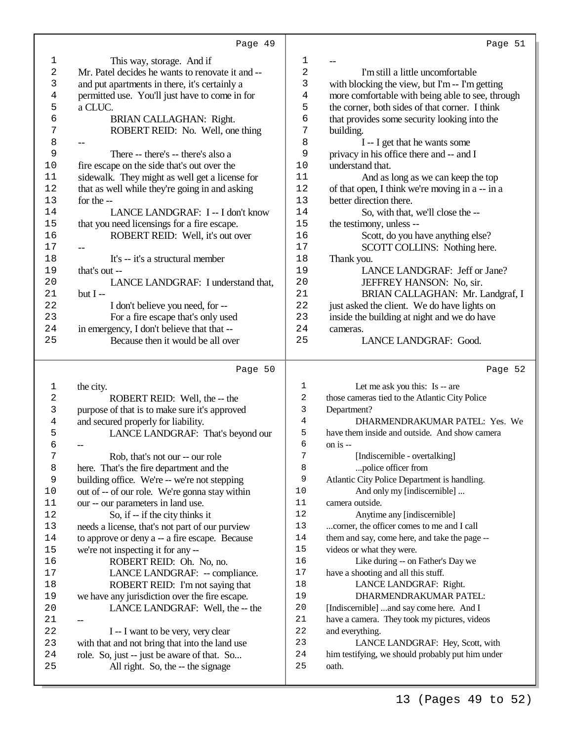| $\mathbf 1$    | This way, storage. And if                                                        | $\mathbf{1}$      |                                                           |  |  |  |
|----------------|----------------------------------------------------------------------------------|-------------------|-----------------------------------------------------------|--|--|--|
| $\sqrt{2}$     | Mr. Patel decides he wants to renovate it and --                                 | 2                 | I'm still a little uncomfortable                          |  |  |  |
| 3              | and put apartments in there, it's certainly a                                    | 3                 | with blocking the view, but I'm -- I'm getting            |  |  |  |
| 4              | permitted use. You'll just have to come in for                                   | $\overline{4}$    | more comfortable with being able to see, through          |  |  |  |
| 5              | a CLUC.                                                                          | 5                 | the corner, both sides of that corner. I think            |  |  |  |
| 6              | BRIAN CALLAGHAN: Right.                                                          | $\epsilon$        | that provides some security looking into the              |  |  |  |
| 7              | ROBERT REID: No. Well, one thing                                                 | $\overline{7}$    | building.                                                 |  |  |  |
| 8              | --                                                                               | 8                 | I -- I get that he wants some                             |  |  |  |
| 9              | There -- there's -- there's also a                                               | 9                 | privacy in his office there and -- and I                  |  |  |  |
| $10$           | fire escape on the side that's out over the                                      | 10                | understand that.                                          |  |  |  |
| 11             | sidewalk. They might as well get a license for                                   | 11                | And as long as we can keep the top                        |  |  |  |
| 12             | that as well while they're going in and asking                                   | 12                | of that open, I think we're moving in a -- in a           |  |  |  |
| 13             | for the --                                                                       | 13                | better direction there.                                   |  |  |  |
| 14             | LANCE LANDGRAF: I -- I don't know                                                | 14                | So, with that, we'll close the --                         |  |  |  |
| 15             | that you need licensings for a fire escape.                                      | 15                | the testimony, unless --                                  |  |  |  |
| 16             | ROBERT REID: Well, it's out over                                                 | 16                |                                                           |  |  |  |
|                |                                                                                  |                   | Scott, do you have anything else?                         |  |  |  |
| 17             | $- -$                                                                            | 17                | SCOTT COLLINS: Nothing here.                              |  |  |  |
| $18$           | It's -- it's a structural member                                                 | 18                | Thank you.                                                |  |  |  |
| 19             | that's out --                                                                    | 19                | LANCE LANDGRAF: Jeff or Jane?                             |  |  |  |
| 20             | LANCE LANDGRAF: I understand that,                                               | 20                | JEFFREY HANSON: No, sir.                                  |  |  |  |
| 21             | but $I -$                                                                        | 21                | BRIAN CALLAGHAN: Mr. Landgraf, I                          |  |  |  |
| 22             | I don't believe you need, for --                                                 | 22                | just asked the client. We do have lights on               |  |  |  |
| 23             | For a fire escape that's only used                                               | 23                | inside the building at night and we do have               |  |  |  |
| 24             | in emergency, I don't believe that that --                                       | 24                | cameras.                                                  |  |  |  |
| 25             | Because then it would be all over                                                | 25                | LANCE LANDGRAF: Good.                                     |  |  |  |
|                |                                                                                  |                   |                                                           |  |  |  |
|                | Page 50                                                                          |                   | Page 52                                                   |  |  |  |
| $\mathbf{1}$   | the city.                                                                        | $\mathbf{1}$      | Let me ask you this: Is -- are                            |  |  |  |
| $\sqrt{2}$     | ROBERT REID: Well, the -- the                                                    | 2                 | those cameras tied to the Atlantic City Police            |  |  |  |
| 3              | purpose of that is to make sure it's approved                                    | 3                 | Department?                                               |  |  |  |
| $\overline{4}$ | and secured properly for liability.                                              | 4                 | DHARMENDRAKUMAR PATEL: Yes. We                            |  |  |  |
| 5              | LANCE LANDGRAF: That's beyond our                                                | 5                 | have them inside and outside. And show camera             |  |  |  |
| 6              |                                                                                  | 6                 | on is --                                                  |  |  |  |
| 7              |                                                                                  | 7                 |                                                           |  |  |  |
|                | Rob, that's not our -- our role                                                  |                   | [Indiscernible - overtalking]                             |  |  |  |
| 8              | here. That's the fire department and the                                         | 8                 | police officer from                                       |  |  |  |
| 9              | building office. We're -- we're not stepping                                     | 9                 | Atlantic City Police Department is handling.              |  |  |  |
| 10             | out of -- of our role. We're gonna stay within                                   | $10$              | And only my [indiscernible]                               |  |  |  |
| 11             | our -- our parameters in land use.                                               | $1\,1$            | camera outside.                                           |  |  |  |
| 12             | So, if -- if the city thinks it                                                  | $12$              | Anytime any [indiscernible]                               |  |  |  |
| $13$           | needs a license, that's not part of our purview                                  | $13$              | corner, the officer comes to me and I call                |  |  |  |
| 14             | to approve or deny a -- a fire escape. Because                                   | 14                | them and say, come here, and take the page --             |  |  |  |
| 15             | we're not inspecting it for any --                                               | 15                | videos or what they were.                                 |  |  |  |
| 16             | ROBERT REID: Oh. No, no.                                                         | 16                | Like during -- on Father's Day we                         |  |  |  |
| $17$           | LANCE LANDGRAF: -- compliance.                                                   | $17$              | have a shooting and all this stuff.                       |  |  |  |
| 18             | ROBERT REID: I'm not saying that                                                 | $18\,$            | LANCE LANDGRAF: Right.                                    |  |  |  |
| 19             | we have any jurisdiction over the fire escape.                                   | 19                | DHARMENDRAKUMAR PATEL:                                    |  |  |  |
| 20             | LANCE LANDGRAF: Well, the -- the                                                 | $20$              | [Indiscernible] and say come here. And I                  |  |  |  |
| 21             |                                                                                  | $2\sqrt{1}$       | have a camera. They took my pictures, videos              |  |  |  |
| 22             | I -- I want to be very, very clear                                               | 22                | and everything.                                           |  |  |  |
| 23             | with that and not bring that into the land use                                   | 23                | LANCE LANDGRAF: Hey, Scott, with                          |  |  |  |
| 24             |                                                                                  |                   |                                                           |  |  |  |
|                |                                                                                  |                   |                                                           |  |  |  |
| 25             | role. So, just -- just be aware of that. So<br>All right. So, the -- the signage | $2\sqrt{4}$<br>25 | him testifying, we should probably put him under<br>oath. |  |  |  |